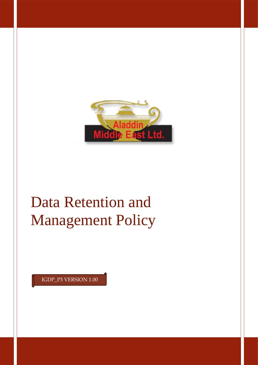

# Data Retention and Management Policy

IGDP\_P3 VERSION 1.00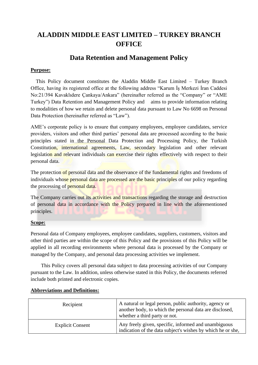# **ALADDIN MIDDLE EAST LIMITED – TURKEY BRANCH OFFICE**

# **Data Retention and Management Policy**

#### **Purpose:**

 This Policy document constitutes the Aladdin Middle East Limited – Turkey Branch Office, having its registered office at the following address "Karum İş Merkezi İran Caddesi No:21/394 Kavaklıdere Çankaya/Ankara" (hereinafter referred as the "Company" or "AME Turkey") Data Retention and Management Policy and aims to provide information relating to modalities of how we retain and delete personal data pursuant to Law No 6698 on Personal Data Protection (hereinafter referred as "Law").

AME's corporate policy is to ensure that company employees, employee candidates, service providers, visitors and other third parties' personal data are processed according to the basic principles stated in the Personal Data Protection and Processing Policy, the Turkish Constitution, international agreements, Law, secondary legislation and other relevant legislation and relevant individuals can exercise their rights effectively with respect to their personal data.

The protection of personal data and the observance of the fundamental rights and freedoms of individuals whose personal data are processed are the basic principles of our policy regarding the processing of personal data.

The Company carries out its activities and transactions regarding the storage and destruction of personal data in accordance with the Policy prepared in line with the aforementioned principles.

#### **Scope:**

Personal data of Company employees, employee candidates, suppliers, customers, visitors and other third parties are within the scope of this Policy and the provisions of this Policy will be applied in all recording environments where personal data is processed by the Company or managed by the Company, and personal data processing activities we implement.

 This Policy covers all personal data subject to data processing activities of our Company pursuant to the Law. In addition, unless otherwise stated in this Policy, the documents referred include both printed and electronic copies.

| Recipient               | A natural or legal person, public authority, agency or<br>another body, to which the personal data are disclosed,<br>whether a third party or not. |
|-------------------------|----------------------------------------------------------------------------------------------------------------------------------------------------|
| <b>Explicit Consent</b> | Any freely given, specific, informed and unambiguous<br>indication of the data subject's wishes by which he or she,                                |

#### **Abbreviations and Definitions:**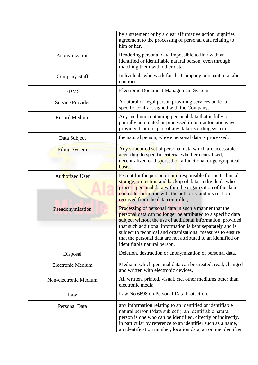|                          | by a statement or by a clear affirmative action, signifies<br>agreement to the processing of personal data relating to<br>him or her,                                                                                                                                                                                                                                                                             |
|--------------------------|-------------------------------------------------------------------------------------------------------------------------------------------------------------------------------------------------------------------------------------------------------------------------------------------------------------------------------------------------------------------------------------------------------------------|
| Anonymization            | Rendering personal data impossible to link with an<br>identified or identifiable natural person, even through<br>matching them with other data                                                                                                                                                                                                                                                                    |
| <b>Company Staff</b>     | Individuals who work for the Company pursuant to a labor<br>contract                                                                                                                                                                                                                                                                                                                                              |
| <b>EDMS</b>              | <b>Electronic Document Management System</b>                                                                                                                                                                                                                                                                                                                                                                      |
| Service Provider         | A natural or legal person providing services under a<br>specific contract signed with the Company.                                                                                                                                                                                                                                                                                                                |
| <b>Record Medium</b>     | Any medium containing personal data that is fully or<br>partially automated or processed in non-automatic ways<br>provided that it is part of any data recording system                                                                                                                                                                                                                                           |
| Data Subject             | the natural person, whose personal data is processed,                                                                                                                                                                                                                                                                                                                                                             |
| <b>Filing System</b>     | Any structured set of personal data which are accessible<br>according to specific criteria, whether centralized,<br>decentralized or dispersed on a functional or geographical<br>basis;                                                                                                                                                                                                                          |
| <b>Authorized User</b>   | Except for the person or unit responsible for the technical<br>storage, protection and backup of data; Individuals who<br>process personal data within the organization of the data<br>controller or in line with the authority and instruction<br>received from the data controller,                                                                                                                             |
| Pseudonymisation         | Processing of personal data in such a manner that the<br>personal data can no longer be attributed to a specific data<br>subject without the use of additional information, provided<br>that such additional information is kept separately and is<br>subject to technical and organizational measures to ensure<br>that the personal data are not attributed to an identified or<br>identifiable natural person. |
| Disposal                 | Deletion, destruction or anonymization of personal data.                                                                                                                                                                                                                                                                                                                                                          |
| <b>Electronic Medium</b> | Media in which personal data can be created, read, changed<br>and written with electronic devices,                                                                                                                                                                                                                                                                                                                |
| Non-electronic Medium    | All written, printed, visual, etc. other mediums other than<br>electronic media,                                                                                                                                                                                                                                                                                                                                  |
| Law                      | Law No 6698 on Personal Data Protection,                                                                                                                                                                                                                                                                                                                                                                          |
| Personal Data            | any information relating to an identified or identifiable<br>natural person ('data subject'); an identifiable natural<br>person is one who can be identified, directly or indirectly,<br>in particular by reference to an identifier such as a name,<br>an identification number, location data, an online identifier                                                                                             |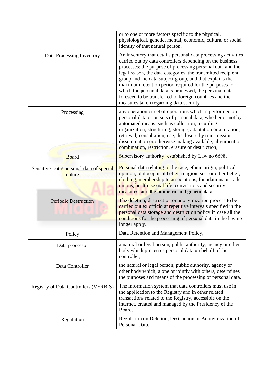|                                                   | or to one or more factors specific to the physical,<br>physiological, genetic, mental, economic, cultural or social<br>identity of that natural person.                                                                                                                                                                                                                                                                                                                                                                                       |
|---------------------------------------------------|-----------------------------------------------------------------------------------------------------------------------------------------------------------------------------------------------------------------------------------------------------------------------------------------------------------------------------------------------------------------------------------------------------------------------------------------------------------------------------------------------------------------------------------------------|
| Data Processing Inventory                         | An inventory that details personal data processing activities<br>carried out by data controllers depending on the business<br>processes; the purpose of processing personal data and the<br>legal reason, the data categories, the transmitted recipient<br>group and the data subject group, and that explains the<br>maximum retention period required for the purposes for<br>which the personal data is processed, the personal data<br>foreseen to be transferred to foreign countries and the<br>measures taken regarding data security |
| Processing                                        | any operation or set of operations which is performed on<br>personal data or on sets of personal data, whether or not by<br>automated means, such as collection, recording,<br>organization, structuring, storage, adaptation or alteration,<br>retrieval, consultation, use, disclosure by transmission,<br>dissemination or otherwise making available, alignment or<br>combination, restriction, erasure or destruction,                                                                                                                   |
| <b>Board</b>                                      | Supervisory authority' established by Law no 6698,                                                                                                                                                                                                                                                                                                                                                                                                                                                                                            |
| Sensitive Data/personal data of special<br>nature | <b>Personal data relating to the race, ethnic origin, political</b><br>opinion, philosophical belief, religion, sect or other belief,<br>clothing, membership to associations, foundations or trade-<br>unions, health, sexual life, convictions and security<br>measures, and the biometric and genetic data                                                                                                                                                                                                                                 |
| <b>Periodic Destruction</b>                       | The deletion, destruction or anonymization process to be<br>carried out ex officio at repetitive intervals specified in the<br>personal data storage and destruction policy in case all the<br>conditions for the processing of personal data in the law no<br>longer apply.                                                                                                                                                                                                                                                                  |
| Policy                                            | Data Retention and Management Policy,                                                                                                                                                                                                                                                                                                                                                                                                                                                                                                         |
| Data processor                                    | a natural or legal person, public authority, agency or other<br>body which processes personal data on behalf of the<br>controller;                                                                                                                                                                                                                                                                                                                                                                                                            |
| Data Controller                                   | the natural or legal person, public authority, agency or<br>other body which, alone or jointly with others, determines<br>the purposes and means of the processing of personal data,                                                                                                                                                                                                                                                                                                                                                          |
| Registry of Data Controllers (VERBIS)             | The information system that data controllers must use in<br>the application to the Registry and in other related<br>transactions related to the Registry, accessible on the<br>internet, created and managed by the Presidency of the<br>Board.                                                                                                                                                                                                                                                                                               |
| Regulation                                        | Regulation on Deletion, Destruction or Anonymization of<br>Personal Data.                                                                                                                                                                                                                                                                                                                                                                                                                                                                     |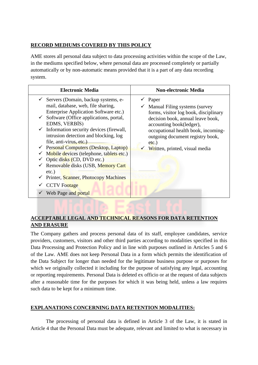#### **RECORD MEDIUMS COVERED BY THIS POLICY**

AME stores all personal data subject to data processing activities within the scope of the Law, in the mediums specified below, where personal data are processed completely or partially automatically or by non-automatic means provided that it is a part of any data recording system.

| <b>Electronic Media</b>                                                                                                                                                                                                                                                                                                                                                                                                                                                                                                                                                                                                                            | <b>Non-electronic Media</b>                                                                                                                                                                                                                                               |
|----------------------------------------------------------------------------------------------------------------------------------------------------------------------------------------------------------------------------------------------------------------------------------------------------------------------------------------------------------------------------------------------------------------------------------------------------------------------------------------------------------------------------------------------------------------------------------------------------------------------------------------------------|---------------------------------------------------------------------------------------------------------------------------------------------------------------------------------------------------------------------------------------------------------------------------|
| $\checkmark$ Servers (Domain, backup systems, e-<br>mail, database, web, file sharing,<br>Enterprise Application Software etc.)<br>$\checkmark$ Software (Office applications, portal,<br>EDMS, VERBIS)<br>$\checkmark$ Information security devices (firewall,<br>intrusion detection and blocking, log<br>file, anti-virus, etc.)<br>$\checkmark$ Personal Computers (Desktop, Laptop)<br>Mobile devices (telephone, tablets etc.)<br>$\checkmark$ Optic disks (CD, DVD etc.)<br>$\checkmark$ Removable disks (USB, Memory Cart<br>$etc.$ )<br>$\checkmark$ Printer, Scanner, Photocopy Machines<br><b>CCTV</b> Footage<br>✓ Web Page and portal | Paper<br>Manual Filing systems (survey<br>forms, visitor log book, disciplinary<br>decision book, annual leave book,<br>accounting book(ledger),<br>occupational health book, incoming-<br>outgoing document registry book,<br>$etc.$ )<br>Written, printed, visual media |

# **ACCEPTABLE LEGAL AND TECHNICAL REASONS FOR DATA RETENTION AND ERASURE**

The Company gathers and process personal data of its staff, employee candidates, service providers, customers, visitors and other third parties according to modalities specified in this Data Processing and Protection Policy and in line with purposes outlined in Articles 5 and 6 of the Law. AME does not keep Personal Data in a form which permits the identification of the Data Subject for longer than needed for the legitimate business purpose or purposes for which we originally collected it including for the purpose of satisfying any legal, accounting or reporting requirements. Personal Data is deleted ex officio or at the request of data subjects after a reasonable time for the purposes for which it was being held, unless a law requires such data to be kept for a minimum time.

# **EXPLANATIONS CONCERNING DATA RETENTION MODALITIES:**

The processing of personal data is defined in Article 3 of the Law, it is stated in Article 4 that the Personal Data must be adequate, relevant and limited to what is necessary in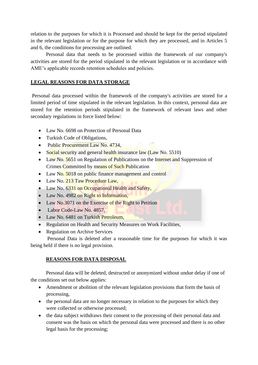relation to the purposes for which it is Processed and should be kept for the period stipulated in the relevant legislation or for the purpose for which they are processed, and in Articles 5 and 6, the conditions for processing are outlined.

Personal data that needs to be processed within the framework of our company's activities are stored for the period stipulated in the relevant legislation or in accordance with AME's applicable records retention schedules and policies.

# **LEGAL REASONS FOR DATA STORAGE**

Personal data processed within the framework of the company's activities are stored for a limited period of time stipulated in the relevant legislation. In this context, personal data are stored for the retention periods stipulated in the framework of relevant laws and other secondary regulations in force listed below:

- Law No. 6698 on Protection of Personal Data
- Turkish Code of Obligations,
- Public Procurement Law No. 4734,
- Social security and general health insurance law (Law No. 5510)
- Law No. 5651 on Regulation of Publications on the Internet and Suppression of Crimes Committed by means of Such Publication
- Law No. 5018 on public finance management and control
- Law No. 213 Taw Procedure Law,
- Law No. 6331 on Occupational Health and Safety,
- Law No. 4982 on Right to Information,
- Law No.3071 on the Exercise of the Right to Petition
- Labor Code-Law No. 4857,
- Law No. 6481 on Turkish Petroleum.
- Regulation on Health and Security Measures on Work Facilities,
- Regulation on Archive Services

Personal Data is deleted after a reasonable time for the purposes for which it was being held if there is no legal provision.

# **REASONS FOR DATA DISPOSAL**

Personal data will be deleted, destructed or anonymized without undue delay if one of the conditions set out below applies:

- Amendment or abolition of the relevant legislation provisions that form the basis of processing,
- the personal data are no longer necessary in relation to the purposes for which they were collected or otherwise processed;
- the data subject withdraws their consent to the processing of their personal data and consent was the basis on which the personal data were processed and there is no other legal basis for the processing;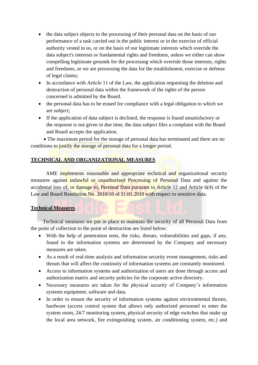- the data subject objects to the processing of their personal data on the basis of our performance of a task carried out in the public interest or in the exercise of official authority vested in us, or on the basis of our legitimate interests which override the data subject's interests or fundamental rights and freedoms, unless we either can show compelling legitimate grounds for the processing which override those interests, rights and freedoms, or we are processing the data for the establishment, exercise or defense of legal claims;
- In accordance with Article 11 of the Law, the application requesting the deletion and destruction of personal data within the framework of the rights of the person concerned is admitted by the Board.
- the personal data has to be erased for compliance with a legal obligation to which we are subject;
- If the application of data subject is declined, the response is found unsatisfactory or the response is not given in due time, the data subject files a complaint with the Board and Board accepts the application.

 • The maximum period for the storage of personal data has terminated and there are no conditions to justify the storage of personal data for a longer period.

# **TECHNICAL AND ORGANIZATIONAL MEASURES**

AME implements reasonable and appropriate technical and organizational security measures against unlawful or unauthorized Processing of Personal Data and against the accidental loss of, or damage to, Personal Data pursuant to Article 12 and Article 6(4) of the Law and Board Resolution No. 2018/10 of 31.01.2018 with respect to sensitive data.

#### **Technical Measures**

Technical measures we put in place to maintain the security of all Personal Data from the point of collection to the point of destruction are listed below:

- With the help of penetration tests, the risks, threats, vulnerabilities and gaps, if any, found in the information systems are determined by the Company and necessary measures are taken.
- As a result of real-time analysis and information security event management, risks and threats that will affect the continuity of information systems are constantly monitored.
- Access to information systems and authorization of users are done through access and authorization matrix and security policies for the corporate active directory.
- Necessary measures are taken for the physical security of Company's information systems equipment, software and data.
- In order to ensure the security of information systems against environmental threats, hardware (access control system that allows only authorized personnel to enter the system room, 24/7 monitoring system, physical security of edge switches that make up the local area network, fire extinguishing system, air conditioning system, etc.) and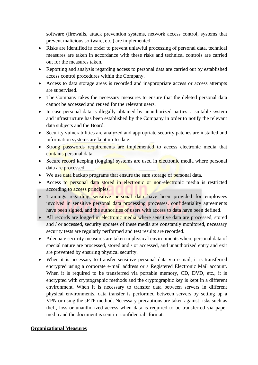software (firewalls, attack prevention systems, network access control, systems that prevent malicious software, etc.) are implemented.

- Risks are identified in order to prevent unlawful processing of personal data, technical measures are taken in accordance with these risks and technical controls are carried out for the measures taken.
- Reporting and analysis regarding access to personal data are carried out by established access control procedures within the Company.
- Access to data storage areas is recorded and inappropriate access or access attempts are supervised.
- The Company takes the necessary measures to ensure that the deleted personal data cannot be accessed and reused for the relevant users.
- In case personal data is illegally obtained by unauthorized parties, a suitable system and infrastructure has been established by the Company in order to notify the relevant data subjects and the Board.
- Security vulnerabilities are analyzed and appropriate security patches are installed and information systems are kept up-to-date.
- Strong passwords requirements are implemented to access electronic media that contains personal data.
- Secure record keeping (logging) systems are used in electronic media where personal data are processed.
- We use data backup programs that ensure the safe storage of personal data.
- Access to personal data stored in electronic or non-electronic media is restricted according to access principles.
- Trainings regarding sensitive personal data have been provided for employees involved in sensitive personal data processing processes, confidentiality agreements have been signed, and the authorities of users with access to data have been defined.
- All records are logged in electronic media where sensitive data are processed, stored and / or accessed, security updates of these media are constantly monitored, necessary security tests are regularly performed and test results are recorded.
- Adequate security measures are taken in physical environments where personal data of special nature are processed, stored and / or accessed, and unauthorized entry and exit are prevented by ensuring physical security.
- When it is necessary to transfer sensitive personal data via e-mail, it is transferred encrypted using a corporate e-mail address or a Registered Electronic Mail account. When it is required to be transferred via portable memory, CD, DVD, etc., it is encrypted with cryptographic methods and the cryptographic key is kept in a different environment. When it is necessary to transfer data between servers in different physical environments, data transfer is performed between servers by setting up a VPN or using the sFTP method. Necessary precautions are taken against risks such as theft, loss or unauthorized access when data is required to be transferred via paper media and the document is sent in "confidential" format.

# **Organizational Measures**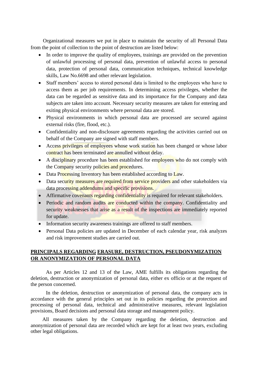Organizational measures we put in place to maintain the security of all Personal Data from the point of collection to the point of destruction are listed below:

- In order to improve the quality of employees, trainings are provided on the prevention of unlawful processing of personal data, prevention of unlawful access to personal data, protection of personal data, communication techniques, technical knowledge skills, Law No.6698 and other relevant legislation.
- Staff members' access to stored personal data is limited to the employees who have to access them as per job requirements. In determining access privileges, whether the data can be regarded as sensitive data and its importance for the Company and data subjects are taken into account. Necessary security measures are taken for entering and exiting physical environments where personal data are stored.
- Physical environments in which personal data are processed are secured against external risks (fire, flood, etc.).
- Confidentiality and non-disclosure agreements regarding the activities carried out on behalf of the Company are signed with staff members.
- Access privileges of employees whose work station has been changed or whose labor contract has been terminated are annulled without delay.
- A disciplinary procedure has been established for employees who do not comply with the Company security policies and procedures.
- Data Processing Inventory has been established according to Law.
- Data security measures are required from service providers and other stakeholders via data processing addendums and specific provisions.
- Affirmative covenants regarding confidentiality is required for relevant stakeholders.
- Periodic and random audits are conducted within the company. Confidentiality and security weaknesses that arise as a result of the inspections are immediately reported for update.
- Information security awareness trainings are offered to staff members.
- Personal Data policies are updated in December of each calendar year, risk analyzes and risk improvement studies are carried out.

# **PRINCIPALS REGARDING ERASURE, DESTRUCTION, PSEUDONYMIZATION OR ANONYMIZATION OF PERSONAL DATA**

As per Articles 12 and 13 of the Law, AME fulfills its obligations regarding the deletion, destruction or anonymization of personal data, either ex officio or at the request of the person concerned.

In the deletion, destruction or anonymization of personal data, the company acts in accordance with the general principles set out in its policies regarding the protection and processing of personal data, technical and administrative measures, relevant legislation provisions, Board decisions and personal data storage and management policy.

 All measures taken by the Company regarding the deletion, destruction and anonymization of personal data are recorded which are kept for at least two years, excluding other legal obligations.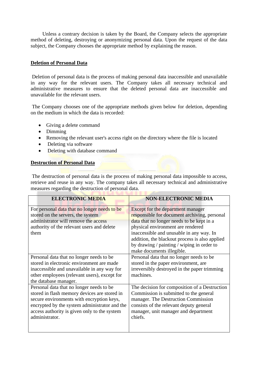Unless a contrary decision is taken by the Board, the Company selects the appropriate method of deleting, destroying or anonymizing personal data. Upon the request of the data subject, the Company chooses the appropriate method by explaining the reason.

#### **Deletion of Personal Data**

Deletion of personal data is the process of making personal data inaccessible and unavailable in any way for the relevant users. The Company takes all necessary technical and administrative measures to ensure that the deleted personal data are inaccessible and unavailable for the relevant users.

The Company chooses one of the appropriate methods given below for deletion, depending on the medium in which the data is recorded:

- Giving a delete command
- Dimming
- Removing the relevant user's access right on the directory where the file is located
- Deleting via software
- Deleting with database command

#### **Destruction of Personal Data**

The destruction of personal data is the process of making personal data impossible to access, retrieve and reuse in any way. The company takes all necessary technical and administrative measures regarding the destruction of personal data.

| <b>ELECTRONIC MEDIA</b>                                                                                                                                                                                                                                  | <b>NON-ELECTRONIC MEDIA</b>                                                                                                                                                                                                                                                                                                                  |
|----------------------------------------------------------------------------------------------------------------------------------------------------------------------------------------------------------------------------------------------------------|----------------------------------------------------------------------------------------------------------------------------------------------------------------------------------------------------------------------------------------------------------------------------------------------------------------------------------------------|
| For personal data that no longer needs to be<br>stored on the servers, the system<br>administrator will remove the access<br>authority of the relevant users and delete<br>them                                                                          | Except for the department manager<br>responsible for document archiving, personal<br>data that no longer needs to be kept in a<br>physical environment are rendered<br>inaccessible and unusable in any way. In<br>addition, the blackout process is also applied<br>by drawing / painting / wiping in order to<br>make documents illegible. |
| Personal data that no longer needs to be<br>stored in electronic environment are made<br>inaccessible and unavailable in any way for<br>other employees (relevant users), except for<br>the database manager.                                            | Personal data that no longer needs to be<br>stored in the paper environment, are<br>irreversibly destroyed in the paper trimming<br>machines.                                                                                                                                                                                                |
| Personal data that no longer needs to be<br>stored in flash memory devices are stored in<br>secure environments with encryption keys,<br>encrypted by the system administrator and the<br>access authority is given only to the system<br>administrator. | The decision for composition of a Destruction<br>Commission is submitted to the general<br>manager. The Destruction Commission<br>consists of the relevant deputy general<br>manager, unit manager and department<br>chiefs.                                                                                                                 |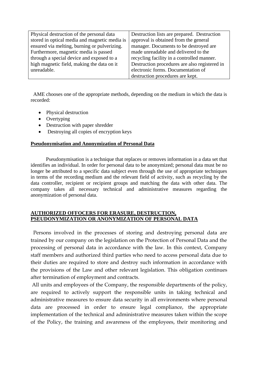| Physical destruction of the personal data     | Destruction lists are prepared. Destruction   |  |
|-----------------------------------------------|-----------------------------------------------|--|
| stored in optical media and magnetic media is | approval is obtained from the general         |  |
| ensured via melting, burning or pulverizing.  | manager. Documents to be destroyed are        |  |
| Furthermore, magnetic media is passed         | made unreadable and delivered to the          |  |
| through a special device and exposed to a     | recycling facility in a controlled manner.    |  |
| high magnetic field, making the data on it    | Destruction procedures are also registered in |  |
| unreadable.                                   | electronic forms. Documentation of            |  |
|                                               | destruction procedures are kept.              |  |

 AME chooses one of the appropriate methods, depending on the medium in which the data is recorded:

- Physical destruction
- Overtyping
- Destruction with paper shredder
- Destroying all copies of encryption keys

#### **Pseudonymisation and Anonymization of Personal Data**

Pseudonymisation is a technique that replaces or removes information in a data set that identifies an individual. In order for personal data to be anonymized; personal data must be no longer be attributed to a specific data subject even through the use of appropriate techniques in terms of the recording medium and the relevant field of activity, such as recycling by the data controller, recipient or recipient groups and matching the data with other data. The company takes all necessary technical and administrative measures regarding the anonymization of personal data.

#### **AUTHORIZED OFFOCERS FOR ERASURE, DESTRUCTION, PSEUDONYMIZATION OR ANONYMIZATION OF PERSONAL DATA**

 Persons involved in the processes of storing and destroying personal data are trained by our company on the legislation on the Protection of Personal Data and the processing of personal data in accordance with the law. In this context, Company staff members and authorized third parties who need to access personal data due to their duties are required to store and destroy such information in accordance with the provisions of the Law and other relevant legislation. This obligation continues after termination of employment and contracts.

All units and employees of the Company, the responsible departments of the policy, are required to actively support the responsible units in taking technical and administrative measures to ensure data security in all environments where personal data are processed in order to ensure legal compliance, the appropriate implementation of the technical and administrative measures taken within the scope of the Policy, the training and awareness of the employees, their monitoring and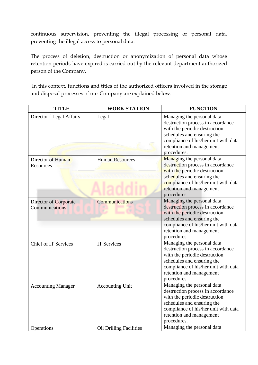continuous supervision, preventing the illegal processing of personal data, preventing the illegal access to personal data.

The process of deletion, destruction or anonymization of personal data whose retention periods have expired is carried out by the relevant department authorized person of the Company.

In this context, functions and titles of the authorized officers involved in the storage and disposal processes of our Company are explained below.

| <b>TITLE</b>                            | <b>WORK STATION</b>            | <b>FUNCTION</b>                                                                                                                                                                                                   |
|-----------------------------------------|--------------------------------|-------------------------------------------------------------------------------------------------------------------------------------------------------------------------------------------------------------------|
| Director f Legal Affairs                | Legal                          | Managing the personal data<br>destruction process in accordance<br>with the periodic destruction<br>schedules and ensuring the<br>compliance of his/her unit with data<br>retention and management<br>procedures. |
| Director of Human<br>Resources          | <b>Human Resources</b>         | Managing the personal data<br>destruction process in accordance<br>with the periodic destruction<br>schedules and ensuring the<br>compliance of his/her unit with data<br>retention and management<br>procedures. |
| Director of Corporate<br>Communications | <b>Communications</b>          | Managing the personal data<br>destruction process in accordance<br>with the periodic destruction<br>schedules and ensuring the<br>compliance of his/her unit with data<br>retention and management<br>procedures. |
| <b>Chief of IT Services</b>             | <b>IT Services</b>             | Managing the personal data<br>destruction process in accordance<br>with the periodic destruction<br>schedules and ensuring the<br>compliance of his/her unit with data<br>retention and management<br>procedures. |
| <b>Accounting Manager</b>               | <b>Accounting Unit</b>         | Managing the personal data<br>destruction process in accordance<br>with the periodic destruction<br>schedules and ensuring the<br>compliance of his/her unit with data<br>retention and management<br>procedures. |
| Operations                              | <b>Oil Drilling Facilities</b> | Managing the personal data                                                                                                                                                                                        |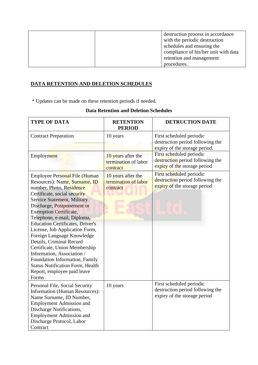| destruction process in accordance    |
|--------------------------------------|
| with the periodic destruction        |
| schedules and ensuring the           |
| compliance of his/her unit with data |
| retention and management             |
| procedures.                          |

# **DATA RETENTION AND DELETION SCHEDULES**

\* Updates can be made on these retention periods if needed.

| <b>TYPE OF DATA</b>                                                                                                                                                                                                                                                                                                                                                                                                                                                                                                                                                                       | <b>RETENTION</b><br><b>PERIOD</b>                      | <b>DETRUCTION DATE</b>                                                                        |
|-------------------------------------------------------------------------------------------------------------------------------------------------------------------------------------------------------------------------------------------------------------------------------------------------------------------------------------------------------------------------------------------------------------------------------------------------------------------------------------------------------------------------------------------------------------------------------------------|--------------------------------------------------------|-----------------------------------------------------------------------------------------------|
| <b>Contract Preparation</b>                                                                                                                                                                                                                                                                                                                                                                                                                                                                                                                                                               | 10 years                                               | First scheduled periodic<br>destruction period following the<br>expiry of the storage period. |
| Employment                                                                                                                                                                                                                                                                                                                                                                                                                                                                                                                                                                                | 10 years after the<br>termination of labor<br>contract | First scheduled periodic<br>destruction period following the<br>expiry of the storage period  |
| Employee Personal File (Human<br>Resources): Name, Surname, ID<br>number, Photo, Residence<br>Certificate, social security<br><b>Service Statement, Military</b><br>Discharge, Postponement or<br><b>Exemption Certificate,</b><br>Telephone, e-mail, Diploma,<br><b>Education Certificates, Driver's</b><br>License, Job Application Form,<br>Foreign Language Knowledge<br>Details, Criminal Record<br>Certificate, Union Membership<br>Information, Association /<br>Foundation Information, Family<br><b>Status Notification Form, Health</b><br>Report, employee paid leave<br>Forms | 10 years after the<br>termination of labor<br>contract | First scheduled periodic<br>destruction period following the<br>expiry of the storage period  |
| Personal File, Social Security<br><b>Information (Human Resources):</b><br>Name Surname, ID Number,<br><b>Employment Admission and</b><br>Discharge Notifications,<br><b>Employment Admission and</b><br>Discharge Protocol, Labor<br>Contract                                                                                                                                                                                                                                                                                                                                            | 10 years                                               | First scheduled periodic<br>destruction period following the<br>expiry of the storage period  |

# **Data Retention and Deletion Schedules**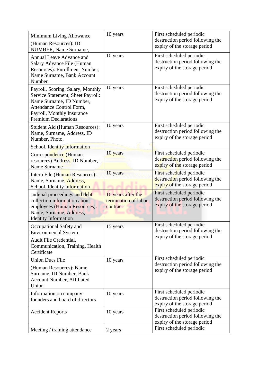| Minimum Living Allowance<br>(Human Resources): ID<br>NUMBER, Name Surname,                                                                                                                  | 10 years                                               | First scheduled periodic<br>destruction period following the<br>expiry of the storage period |
|---------------------------------------------------------------------------------------------------------------------------------------------------------------------------------------------|--------------------------------------------------------|----------------------------------------------------------------------------------------------|
| Annual Leave Advance and<br>Salary Advance File (Human<br>Resources): Enrollment Number,<br>Name Surname, Bank Account<br>Number                                                            | 10 years                                               | First scheduled periodic<br>destruction period following the<br>expiry of the storage period |
| Payroll, Scoring, Salary, Monthly<br>Service Statement, Sheet Payroll:<br>Name Surname, ID Number,<br>Attendance Control Form,<br>Payroll, Monthly Insurance<br><b>Premium Declarations</b> | 10 years                                               | First scheduled periodic<br>destruction period following the<br>expiry of the storage period |
| Student Aid (Human Resources):<br>Name, Surname, Address, ID<br>Number, Photo,<br>School, Identity Information                                                                              | 10 years                                               | First scheduled periodic<br>destruction period following the<br>expiry of the storage period |
| Correspondence (Human<br>resources) Address, ID Number,<br>Name Surname                                                                                                                     | 10 years                                               | First scheduled periodic<br>destruction period following the<br>expiry of the storage period |
| Intern File (Human Resources):<br>Name, Surname, Address,<br>School, Identity Information                                                                                                   | 10 years                                               | First scheduled periodic<br>destruction period following the<br>expiry of the storage period |
| Judicial proceedings and debt<br>collection information about<br>employees (Human Resources):<br>Name, Surname, Address,<br><b>Identity Information</b>                                     | 10 years after the<br>termination of labor<br>contract | First scheduled periodic<br>destruction period following the<br>expiry of the storage period |
| Occupational Safety and<br><b>Environmental System</b><br>Audit File Credential,<br>Communication, Training, Health<br>Certificate                                                          | 15 years                                               | First scheduled periodic<br>destruction period following the<br>expiry of the storage period |
| <b>Union Dues File</b><br>(Human Resources): Name<br>Surname, ID Number, Bank<br>Account Number, Affiliated<br>Union                                                                        | 10 years                                               | First scheduled periodic<br>destruction period following the<br>expiry of the storage period |
| Information on company<br>founders and board of directors                                                                                                                                   | 10 years                                               | First scheduled periodic<br>destruction period following the<br>expiry of the storage period |
| <b>Accident Reports</b>                                                                                                                                                                     | 10 years                                               | First scheduled periodic<br>destruction period following the<br>expiry of the storage period |
| Meeting / training attendance                                                                                                                                                               | 2 years                                                | First scheduled periodic                                                                     |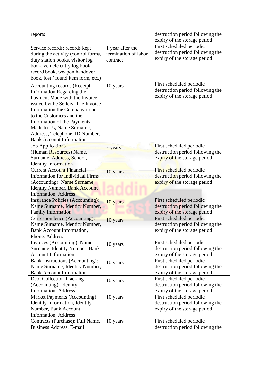| reports                                 |                      | destruction period following the |
|-----------------------------------------|----------------------|----------------------------------|
|                                         |                      | expiry of the storage period     |
| Service records: records kept           | 1 year after the     | First scheduled periodic         |
| during the activity (control forms,     | termination of labor | destruction period following the |
| duty station books, visitor log         | contract             | expiry of the storage period     |
| book, vehicle entry log book,           |                      |                                  |
| record book, weapon handover            |                      |                                  |
| book, lost / found item form, etc.)     |                      |                                  |
| Accounting records (Receipt             | 10 years             | First scheduled periodic         |
| Information Regarding the               |                      | destruction period following the |
| Payment Made with the Invoice           |                      | expiry of the storage period     |
| issued byt he Sellers; The Invoice      |                      |                                  |
| Information the Company issues          |                      |                                  |
| to the Customers and the                |                      |                                  |
| Information of the Payments             |                      |                                  |
| Made to Us, Name Surname,               |                      |                                  |
| Address, Telephone, ID Number,          |                      |                                  |
| <b>Bank Account Information</b>         |                      |                                  |
| <b>Job Applications</b>                 |                      | First scheduled periodic         |
| (Human Resources) Name,                 | 2 years              | destruction period following the |
| Surname, Address, School,               |                      | expiry of the storage period     |
| <b>Identity Information</b>             |                      |                                  |
| <b>Current Account Financial</b>        | 10 years             | First scheduled periodic         |
| <b>Information for Individual Firms</b> |                      | destruction period following the |
| (Accounting): Name Surname,             |                      | expiry of the storage period     |
| <b>Identity Number, Bank Account</b>    |                      |                                  |
| <b>Information</b> , Address            |                      |                                  |
| <b>Insurance Policies (Accounting):</b> | 10 years             | First scheduled periodic         |
| Name Surname, Identity Number,          |                      | destruction period following the |
| <b>Family Information</b>               |                      | expiry of the storage period     |
| Correspondence (Accounting):            | 10 years             | First scheduled periodic         |
| Name Surname, Identity Number,          |                      | destruction period following the |
| <b>Bank Account Information,</b>        |                      | expiry of the storage period     |
| Phone, Address                          |                      |                                  |
| Invoices (Accounting): Name             | 10 years             | First scheduled periodic         |
| Surname, Identity Number, Bank          |                      | destruction period following the |
| <b>Account Information</b>              |                      | expiry of the storage period     |
| <b>Bank Instructions (Accounting):</b>  | 10 years             | First scheduled periodic         |
| Name Surname, Identity Number,          |                      | destruction period following the |
| <b>Bank Account Information</b>         |                      | expiry of the storage period     |
| <b>Debt Collection Tracking</b>         | 10 years             | First scheduled periodic         |
| (Accounting): Identity                  |                      | destruction period following the |
| <b>Information</b> , Address            |                      | expiry of the storage period     |
| Market Payments (Accounting):           | 10 years             | First scheduled periodic         |
| Identity Information, Identity          |                      | destruction period following the |
| Number, Bank Account                    |                      | expiry of the storage period     |
| <b>Information</b> , Address            |                      |                                  |
| Contracts (Purchase): Full Name,        | 10 years             | First scheduled periodic         |
| Business Address, E-mail                |                      | destruction period following the |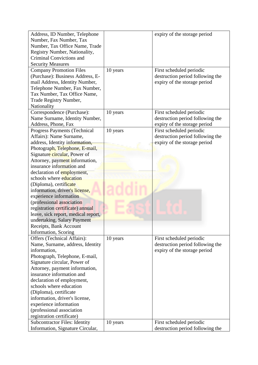| Address, ID Number, Telephone        |          | expiry of the storage period     |
|--------------------------------------|----------|----------------------------------|
| Number, Fax Number, Tax              |          |                                  |
| Number, Tax Office Name, Trade       |          |                                  |
| Registry Number, Nationality,        |          |                                  |
| <b>Criminal Convictions and</b>      |          |                                  |
| <b>Security Measures</b>             |          |                                  |
| <b>Company Promotion Files</b>       | 10 years | First scheduled periodic         |
| (Purchase): Business Address, E-     |          | destruction period following the |
| mail Address, Identity Number,       |          | expiry of the storage period     |
| Telephone Number, Fax Number,        |          |                                  |
| Tax Number, Tax Office Name,         |          |                                  |
| Trade Registry Number,               |          |                                  |
| Nationality                          |          |                                  |
| Correspondence (Purchase):           | 10 years | First scheduled periodic         |
| Name Surname, Identity Number,       |          | destruction period following the |
| Address, Phone, Fax                  |          | expiry of the storage period     |
| <b>Progress Payments (Technical</b>  | 10 years | First scheduled periodic         |
| Affairs): Name Surname,              |          | destruction period following the |
| address, Identity information,       |          | expiry of the storage period     |
| Photograph, Telephone, E-mail,       |          |                                  |
| Signature circular, Power of         |          |                                  |
| Attorney, payment information,       |          |                                  |
| insurance information and            |          |                                  |
| declaration of <i>employment</i> ,   |          |                                  |
| schools where education              |          |                                  |
| (Diploma), certificate               |          |                                  |
| information, driver's license,       |          |                                  |
| experience information               |          |                                  |
| (professional association            |          |                                  |
| registration certificate) annual     |          |                                  |
| leave, sick report, medical report,  |          |                                  |
| undertaking, Salary Payment          |          |                                  |
| Receipts, Bank Account               |          |                                  |
| Information, Scoring                 |          |                                  |
| Offers (Technical Affairs):          | 10 years | First scheduled periodic         |
| Name, Surname, address, Identity     |          | destruction period following the |
| information,                         |          | expiry of the storage period     |
| Photograph, Telephone, E-mail,       |          |                                  |
| Signature circular, Power of         |          |                                  |
| Attorney, payment information,       |          |                                  |
| insurance information and            |          |                                  |
| declaration of employment,           |          |                                  |
| schools where education              |          |                                  |
| (Diploma), certificate               |          |                                  |
| information, driver's license,       |          |                                  |
| experience information               |          |                                  |
| (professional association            |          |                                  |
| registration certificate)            |          |                                  |
| <b>Subcontractor Files: Identity</b> | 10 years | First scheduled periodic         |
| Information, Signature Circular,     |          | destruction period following the |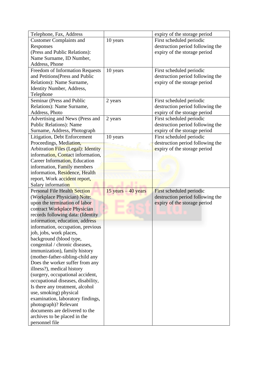| Telephone, Fax, Address                    |                        | expiry of the storage period     |
|--------------------------------------------|------------------------|----------------------------------|
| <b>Customer Complaints and</b>             | 10 years               | First scheduled periodic         |
| Responses                                  |                        | destruction period following the |
| (Press and Public Relations):              |                        | expiry of the storage period     |
| Name Surname, ID Number,                   |                        |                                  |
| Address, Phone                             |                        |                                  |
| <b>Freedom of Information Requests</b>     | 10 years               | First scheduled periodic         |
| and Petitions (Press and Public            |                        | destruction period following the |
| Relations): Name Surname,                  |                        | expiry of the storage period     |
| Identity Number, Address,                  |                        |                                  |
| Telephone                                  |                        |                                  |
| Seminar (Press and Public                  | 2 years                | First scheduled periodic         |
| Relations): Name Surname,                  |                        | destruction period following the |
| Address, Photo                             |                        | expiry of the storage period     |
| Advertising and News (Press and            | 2 years                | First scheduled periodic         |
| <b>Public Relations): Name</b>             |                        | destruction period following the |
| Surname, Address, Photograph               |                        | expiry of the storage period     |
| Litigation, Debt Enforcement               | 10 years               | First scheduled periodic         |
| Proceedings, Mediation,                    |                        | destruction period following the |
| <b>Arbitration Files (Legal): Identity</b> |                        | expiry of the storage period     |
| information, Contact information,          |                        |                                  |
| Career Information, Education              |                        |                                  |
| information, Family members                |                        |                                  |
| information, Residence, Health             |                        |                                  |
| report, Work accident report,              |                        |                                  |
| Salary information                         |                        |                                  |
| <b>Personal File Health Section</b>        | $15$ years $-40$ years | First scheduled periodic         |
| (Workplace Physician) Note:                |                        | destruction period following the |
| upon the termination of labor              |                        | expiry of the storage period     |
| contract Workplace Physician               |                        |                                  |
| records following data: (Identity          |                        |                                  |
| information, education, address            |                        |                                  |
| information, occupation, previous          |                        |                                  |
| job, jobs, work places,                    |                        |                                  |
| background (blood type,                    |                        |                                  |
| congenital / chronic diseases,             |                        |                                  |
| immunization), family history              |                        |                                  |
| (mother-father-sibling-child any           |                        |                                  |
| Does the worker suffer from any            |                        |                                  |
| illness?), medical history                 |                        |                                  |
| (surgery, occupational accident,           |                        |                                  |
| occupational diseases, disability,         |                        |                                  |
| Is there any treatment, alcohol            |                        |                                  |
| use, smoking) physical                     |                        |                                  |
| examination, laboratory findings,          |                        |                                  |
| photograph)? Relevant                      |                        |                                  |
| documents are delivered to the             |                        |                                  |
| archives to be placed in the               |                        |                                  |
| personnel file                             |                        |                                  |